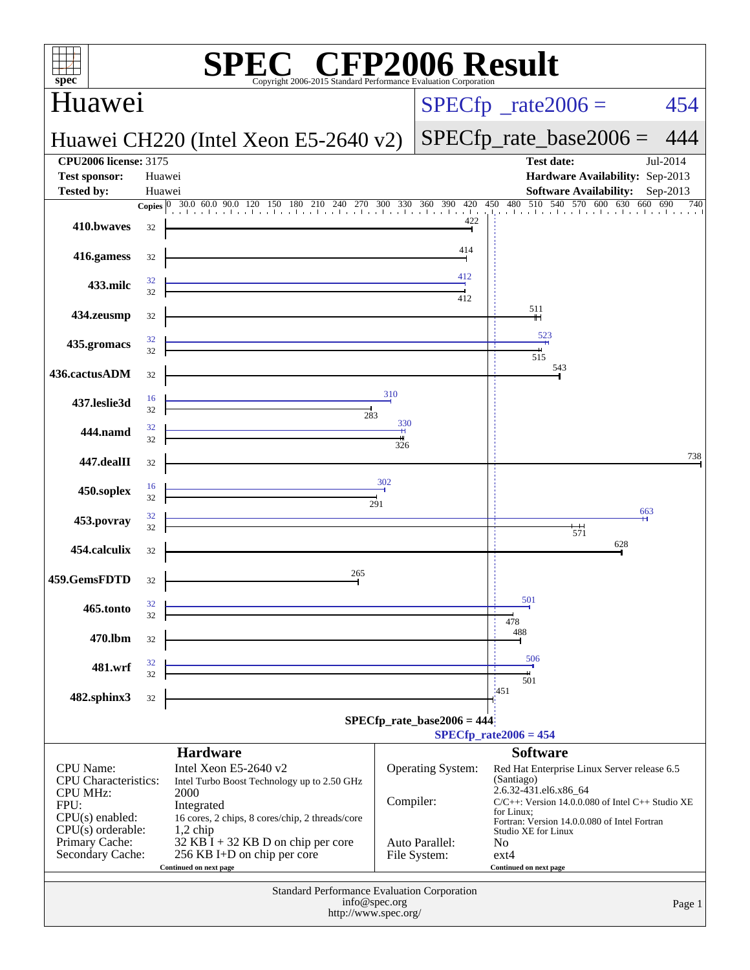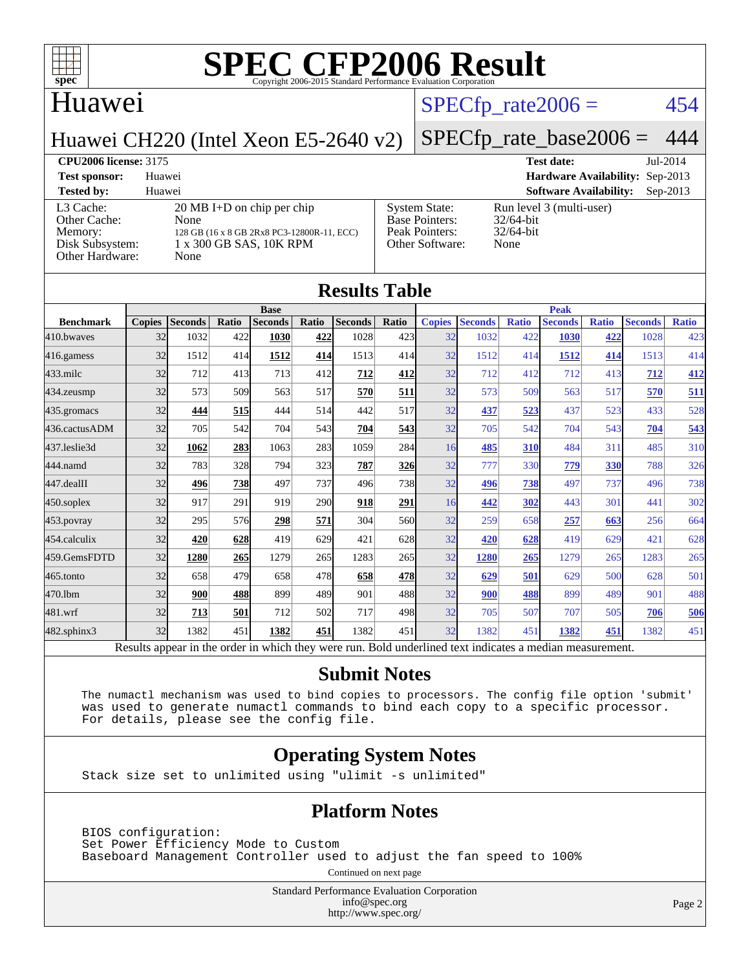

### Huawei

#### $SPECTp\_rate2006 = 454$

Huawei CH220 (Intel Xeon E5-2640 v2)

#### [SPECfp\\_rate\\_base2006 =](http://www.spec.org/auto/cpu2006/Docs/result-fields.html#SPECfpratebase2006) 444

**[CPU2006 license:](http://www.spec.org/auto/cpu2006/Docs/result-fields.html#CPU2006license)** 3175 **[Test date:](http://www.spec.org/auto/cpu2006/Docs/result-fields.html#Testdate)** Jul-2014 **[Test sponsor:](http://www.spec.org/auto/cpu2006/Docs/result-fields.html#Testsponsor)** Huawei **[Hardware Availability:](http://www.spec.org/auto/cpu2006/Docs/result-fields.html#HardwareAvailability)** Sep-2013 **[Tested by:](http://www.spec.org/auto/cpu2006/Docs/result-fields.html#Testedby)** Huawei **[Software Availability:](http://www.spec.org/auto/cpu2006/Docs/result-fields.html#SoftwareAvailability)** Sep-2013 [L3 Cache:](http://www.spec.org/auto/cpu2006/Docs/result-fields.html#L3Cache) 20 MB I+D on chip per chip<br>Other Cache: None [Other Cache:](http://www.spec.org/auto/cpu2006/Docs/result-fields.html#OtherCache) [Memory:](http://www.spec.org/auto/cpu2006/Docs/result-fields.html#Memory) 128 GB (16 x 8 GB 2Rx8 PC3-12800R-11, ECC) [Disk Subsystem:](http://www.spec.org/auto/cpu2006/Docs/result-fields.html#DiskSubsystem) 1 x 300 GB SAS, 10K RPM [Other Hardware:](http://www.spec.org/auto/cpu2006/Docs/result-fields.html#OtherHardware) None [System State:](http://www.spec.org/auto/cpu2006/Docs/result-fields.html#SystemState) Run level 3 (multi-user)<br>Base Pointers: 32/64-bit [Base Pointers:](http://www.spec.org/auto/cpu2006/Docs/result-fields.html#BasePointers) [Peak Pointers:](http://www.spec.org/auto/cpu2006/Docs/result-fields.html#PeakPointers) 32/64-bit [Other Software:](http://www.spec.org/auto/cpu2006/Docs/result-fields.html#OtherSoftware) None

| <b>Results Table</b> |               |                |       |                |       |                                                                                                          |            |               |                |              |                |              |                |              |
|----------------------|---------------|----------------|-------|----------------|-------|----------------------------------------------------------------------------------------------------------|------------|---------------|----------------|--------------|----------------|--------------|----------------|--------------|
|                      | <b>Base</b>   |                |       |                |       | <b>Peak</b>                                                                                              |            |               |                |              |                |              |                |              |
| <b>Benchmark</b>     | <b>Copies</b> | <b>Seconds</b> | Ratio | <b>Seconds</b> | Ratio | <b>Seconds</b>                                                                                           | Ratio      | <b>Copies</b> | <b>Seconds</b> | <b>Ratio</b> | <b>Seconds</b> | <b>Ratio</b> | <b>Seconds</b> | <b>Ratio</b> |
| 410.bwayes           | 32            | 1032           | 422   | 1030           | 422   | 1028                                                                                                     | 423        | 32            | 1032           | 422          | 1030           | 422          | 1028           | 423          |
| 416.gamess           | 32            | 1512           | 414   | 1512           | 414   | 1513                                                                                                     | 414        | 32            | 1512           | 414          | 1512           | 414          | 1513           | 414          |
| $433$ .milc          | 32            | 712            | 413   | 713            | 412   | 712                                                                                                      | 412        | 32            | 712            | 412          | 712            | 413          | 712            | 412          |
| 434.zeusmp           | 32            | 573            | 509   | 563            | 517   | 570                                                                                                      | <u>511</u> | 32            | 573            | 509          | 563            | 517          | 570            | 511          |
| 435.gromacs          | 32            | 444            | 515   | 444            | 514   | 442                                                                                                      | 517        | 32            | 437            | 523          | 437            | 523          | 433            | 528          |
| 436.cactusADM        | 32            | 705            | 542   | 704            | 543   | 704                                                                                                      | 543        | 32            | 705            | 542          | 704            | 543          | 704            | 543          |
| 437.leslie3d         | 32            | 1062           | 283   | 1063           | 283   | 1059                                                                                                     | 284        | 16            | 485            | 310          | 484            | 311          | 485            | 310          |
| 444.namd             | 32            | 783            | 328   | 794            | 323   | 787                                                                                                      | 326        | 32            | 777            | 330          | 779            | 330          | 788            | 326          |
| 447.dealII           | 32            | 496            | 738   | 497            | 737   | 496                                                                                                      | 738        | 32            | 496            | 738          | 497            | 737          | 496            | 738          |
| $450$ .soplex        | 32            | 917            | 291   | 919            | 290   | 918                                                                                                      | 291        | 16            | 442            | 302          | 443            | 301          | 441            | 302          |
| 453.povray           | 32            | 295            | 576   | 298            | 571   | 304                                                                                                      | 560        | 32            | 259            | 658          | 257            | 663          | 256            | 664          |
| 454.calculix         | 32            | 420            | 628   | 419            | 629   | 421                                                                                                      | 628        | 32            | 420            | 628          | 419            | 629          | 421            | 628          |
| 459.GemsFDTD         | 32            | 1280           | 265   | 1279           | 265   | 1283                                                                                                     | 265        | 32            | 1280           | 265          | 1279           | 265          | 1283           | 265          |
| 465.tonto            | 32            | 658            | 479   | 658            | 478   | 658                                                                                                      | 478        | 32            | 629            | 501          | 629            | 500          | 628            | 501          |
| 470.1bm              | 32            | 900            | 488   | 899            | 489   | 901                                                                                                      | 488        | 32            | 900            | 488          | 899            | 489          | 901            | 488          |
| 481.wrf              | 32            | 713            | 501   | 712            | 502   | 717                                                                                                      | 498        | 32            | 705            | 507          | 707            | 505          | 706            | 506          |
| 482.sphinx3          | 32            | 1382           | 451   | 1382           | 451   | 1382                                                                                                     | 451        | 32            | 1382           | 451          | 1382           | 451          | 1382           | 451          |
|                      |               |                |       |                |       | Results appear in the order in which they were run. Bold underlined text indicates a median measurement. |            |               |                |              |                |              |                |              |

#### **[Submit Notes](http://www.spec.org/auto/cpu2006/Docs/result-fields.html#SubmitNotes)**

 The numactl mechanism was used to bind copies to processors. The config file option 'submit' was used to generate numactl commands to bind each copy to a specific processor. For details, please see the config file.

#### **[Operating System Notes](http://www.spec.org/auto/cpu2006/Docs/result-fields.html#OperatingSystemNotes)**

Stack size set to unlimited using "ulimit -s unlimited"

#### **[Platform Notes](http://www.spec.org/auto/cpu2006/Docs/result-fields.html#PlatformNotes)**

 BIOS configuration: Set Power Efficiency Mode to Custom Baseboard Management Controller used to adjust the fan speed to 100%

Continued on next page

Standard Performance Evaluation Corporation [info@spec.org](mailto:info@spec.org) <http://www.spec.org/>

Page 2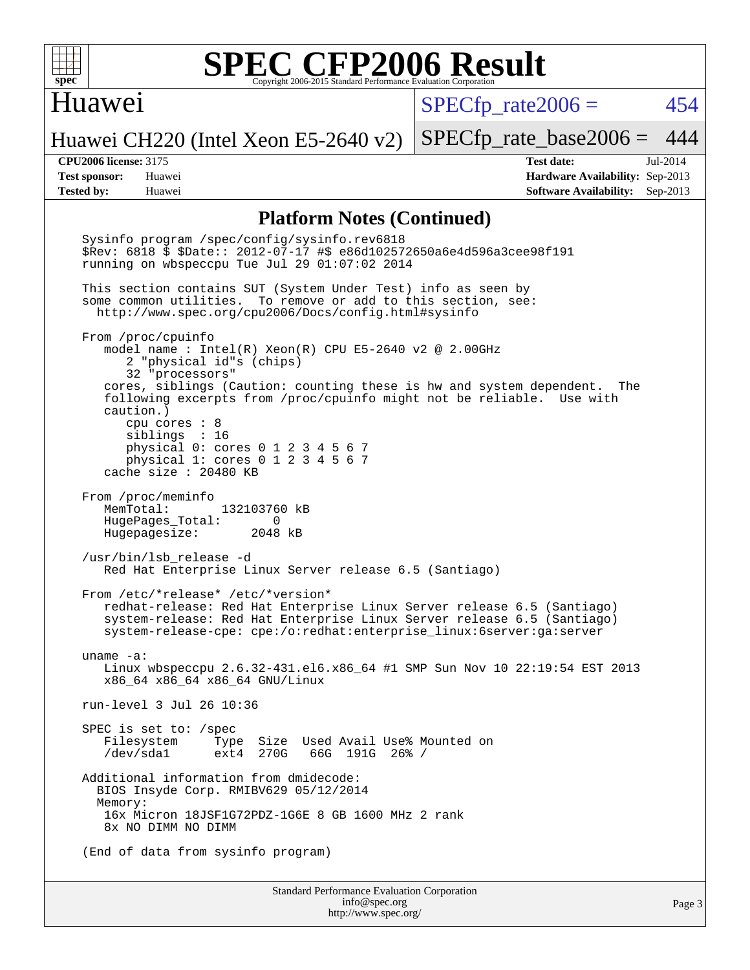

#### Huawei

 $SPECTp\_rate2006 = 454$ 

Huawei CH220 (Intel Xeon E5-2640 v2)

[SPECfp\\_rate\\_base2006 =](http://www.spec.org/auto/cpu2006/Docs/result-fields.html#SPECfpratebase2006) 444

**[CPU2006 license:](http://www.spec.org/auto/cpu2006/Docs/result-fields.html#CPU2006license)** 3175 **[Test date:](http://www.spec.org/auto/cpu2006/Docs/result-fields.html#Testdate)** Jul-2014 **[Test sponsor:](http://www.spec.org/auto/cpu2006/Docs/result-fields.html#Testsponsor)** Huawei **[Hardware Availability:](http://www.spec.org/auto/cpu2006/Docs/result-fields.html#HardwareAvailability)** Sep-2013 **[Tested by:](http://www.spec.org/auto/cpu2006/Docs/result-fields.html#Testedby)** Huawei **[Software Availability:](http://www.spec.org/auto/cpu2006/Docs/result-fields.html#SoftwareAvailability)** Sep-2013

#### **[Platform Notes \(Continued\)](http://www.spec.org/auto/cpu2006/Docs/result-fields.html#PlatformNotes)**

Standard Performance Evaluation Corporation [info@spec.org](mailto:info@spec.org) Sysinfo program /spec/config/sysinfo.rev6818 \$Rev: 6818 \$ \$Date:: 2012-07-17 #\$ e86d102572650a6e4d596a3cee98f191 running on wbspeccpu Tue Jul 29 01:07:02 2014 This section contains SUT (System Under Test) info as seen by some common utilities. To remove or add to this section, see: <http://www.spec.org/cpu2006/Docs/config.html#sysinfo> From /proc/cpuinfo model name : Intel(R) Xeon(R) CPU E5-2640 v2 @ 2.00GHz 2 "physical id"s (chips) 32 "processors" cores, siblings (Caution: counting these is hw and system dependent. The following excerpts from /proc/cpuinfo might not be reliable. Use with caution.) cpu cores : 8 siblings : 16 physical 0: cores 0 1 2 3 4 5 6 7 physical 1: cores 0 1 2 3 4 5 6 7 cache size : 20480 KB From /proc/meminfo MemTotal: 132103760 kB HugePages\_Total: 0<br>Hugepagesize: 2048 kB Hugepagesize: /usr/bin/lsb\_release -d Red Hat Enterprise Linux Server release 6.5 (Santiago) From /etc/\*release\* /etc/\*version\* redhat-release: Red Hat Enterprise Linux Server release 6.5 (Santiago) system-release: Red Hat Enterprise Linux Server release 6.5 (Santiago) system-release-cpe: cpe:/o:redhat:enterprise\_linux:6server:ga:server uname -a: Linux wbspeccpu 2.6.32-431.el6.x86\_64 #1 SMP Sun Nov 10 22:19:54 EST 2013 x86\_64 x86\_64 x86\_64 GNU/Linux run-level 3 Jul 26 10:36 SPEC is set to: /spec Filesystem Type Size Used-Avail-Use%-Mounted-on-<br>  $\sqrt{\text{dev}}$ /sdal ext4 270G 66G 191G 26%-/ 66G 191G 26% / Additional information from dmidecode: BIOS Insyde Corp. RMIBV629 05/12/2014 Memory: 16x Micron 18JSF1G72PDZ-1G6E 8 GB 1600 MHz 2 rank 8x NO DIMM NO DIMM (End of data from sysinfo program)

<http://www.spec.org/>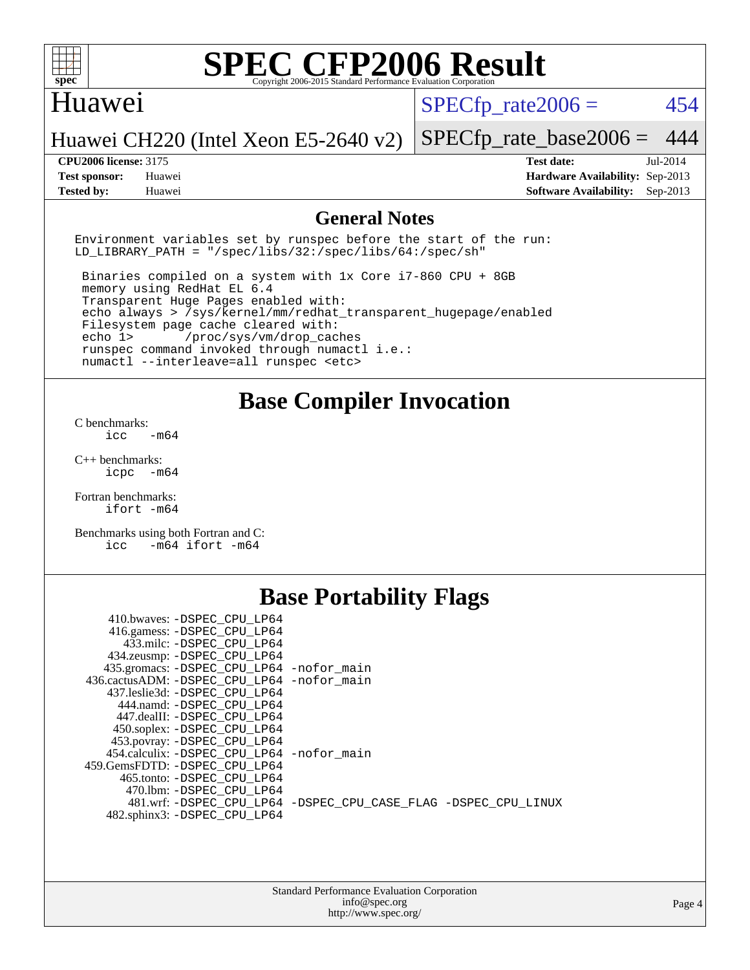

#### Huawei

 $SPECTp\_rate2006 = 454$ 

Huawei CH220 (Intel Xeon E5-2640 v2)

**[Test sponsor:](http://www.spec.org/auto/cpu2006/Docs/result-fields.html#Testsponsor)** Huawei **[Hardware Availability:](http://www.spec.org/auto/cpu2006/Docs/result-fields.html#HardwareAvailability)** Sep-2013 **[Tested by:](http://www.spec.org/auto/cpu2006/Docs/result-fields.html#Testedby)** Huawei **[Software Availability:](http://www.spec.org/auto/cpu2006/Docs/result-fields.html#SoftwareAvailability)** Sep-2013

[SPECfp\\_rate\\_base2006 =](http://www.spec.org/auto/cpu2006/Docs/result-fields.html#SPECfpratebase2006) 444 **[CPU2006 license:](http://www.spec.org/auto/cpu2006/Docs/result-fields.html#CPU2006license)** 3175 **[Test date:](http://www.spec.org/auto/cpu2006/Docs/result-fields.html#Testdate)** Jul-2014

**[General Notes](http://www.spec.org/auto/cpu2006/Docs/result-fields.html#GeneralNotes)**

Environment variables set by runspec before the start of the run: LD LIBRARY PATH = "/spec/libs/32:/spec/libs/64:/spec/sh"

 Binaries compiled on a system with 1x Core i7-860 CPU + 8GB memory using RedHat EL 6.4 Transparent Huge Pages enabled with: echo always > /sys/kernel/mm/redhat\_transparent\_hugepage/enabled Filesystem page cache cleared with: echo 1> /proc/sys/vm/drop\_caches runspec command invoked through numactl i.e.: numactl --interleave=all runspec <etc>

**[Base Compiler Invocation](http://www.spec.org/auto/cpu2006/Docs/result-fields.html#BaseCompilerInvocation)**

[C benchmarks](http://www.spec.org/auto/cpu2006/Docs/result-fields.html#Cbenchmarks):  $\text{icc}$   $-\text{m64}$ 

[C++ benchmarks:](http://www.spec.org/auto/cpu2006/Docs/result-fields.html#CXXbenchmarks) [icpc -m64](http://www.spec.org/cpu2006/results/res2014q3/cpu2006-20140811-30874.flags.html#user_CXXbase_intel_icpc_64bit_bedb90c1146cab66620883ef4f41a67e)

[Fortran benchmarks](http://www.spec.org/auto/cpu2006/Docs/result-fields.html#Fortranbenchmarks): [ifort -m64](http://www.spec.org/cpu2006/results/res2014q3/cpu2006-20140811-30874.flags.html#user_FCbase_intel_ifort_64bit_ee9d0fb25645d0210d97eb0527dcc06e)

[Benchmarks using both Fortran and C](http://www.spec.org/auto/cpu2006/Docs/result-fields.html#BenchmarksusingbothFortranandC): [icc -m64](http://www.spec.org/cpu2006/results/res2014q3/cpu2006-20140811-30874.flags.html#user_CC_FCbase_intel_icc_64bit_0b7121f5ab7cfabee23d88897260401c) [ifort -m64](http://www.spec.org/cpu2006/results/res2014q3/cpu2006-20140811-30874.flags.html#user_CC_FCbase_intel_ifort_64bit_ee9d0fb25645d0210d97eb0527dcc06e)

## **[Base Portability Flags](http://www.spec.org/auto/cpu2006/Docs/result-fields.html#BasePortabilityFlags)**

| 410.bwaves: -DSPEC CPU LP64                 |                                                                |
|---------------------------------------------|----------------------------------------------------------------|
| 416.gamess: -DSPEC_CPU_LP64                 |                                                                |
| 433.milc: -DSPEC CPU LP64                   |                                                                |
| 434.zeusmp: - DSPEC_CPU_LP64                |                                                                |
| 435.gromacs: -DSPEC_CPU_LP64 -nofor_main    |                                                                |
| 436.cactusADM: -DSPEC CPU LP64 -nofor main  |                                                                |
| 437.leslie3d: -DSPEC CPU LP64               |                                                                |
| 444.namd: -DSPEC CPU LP64                   |                                                                |
| 447.dealII: -DSPEC CPU LP64                 |                                                                |
| 450.soplex: - DSPEC CPU LP64                |                                                                |
| 453.povray: -DSPEC_CPU_LP64                 |                                                                |
| 454.calculix: - DSPEC CPU LP64 - nofor main |                                                                |
| 459. GemsFDTD: - DSPEC CPU LP64             |                                                                |
| 465.tonto: - DSPEC CPU LP64                 |                                                                |
| 470.1bm: - DSPEC CPU LP64                   |                                                                |
|                                             | 481.wrf: -DSPEC CPU_LP64 -DSPEC_CPU_CASE_FLAG -DSPEC_CPU_LINUX |
| 482.sphinx3: -DSPEC_CPU_LP64                |                                                                |
|                                             |                                                                |

| <b>Standard Performance Evaluation Corporation</b> |
|----------------------------------------------------|
| info@spec.org                                      |
| http://www.spec.org/                               |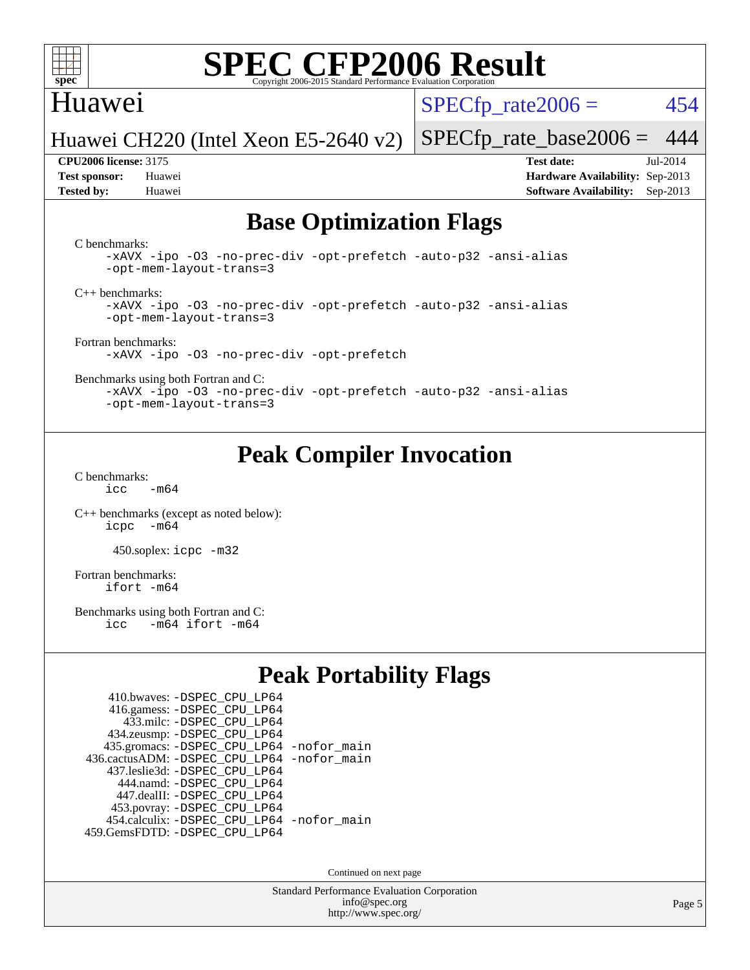

#### Huawei

 $SPECTp\_rate2006 = 454$ 

Huawei CH220 (Intel Xeon E5-2640 v2)

**[Tested by:](http://www.spec.org/auto/cpu2006/Docs/result-fields.html#Testedby)** Huawei **[Software Availability:](http://www.spec.org/auto/cpu2006/Docs/result-fields.html#SoftwareAvailability)** Sep-2013

**[CPU2006 license:](http://www.spec.org/auto/cpu2006/Docs/result-fields.html#CPU2006license)** 3175 **[Test date:](http://www.spec.org/auto/cpu2006/Docs/result-fields.html#Testdate)** Jul-2014 **[Test sponsor:](http://www.spec.org/auto/cpu2006/Docs/result-fields.html#Testsponsor)** Huawei **[Hardware Availability:](http://www.spec.org/auto/cpu2006/Docs/result-fields.html#HardwareAvailability)** Sep-2013

[SPECfp\\_rate\\_base2006 =](http://www.spec.org/auto/cpu2006/Docs/result-fields.html#SPECfpratebase2006) 444

## **[Base Optimization Flags](http://www.spec.org/auto/cpu2006/Docs/result-fields.html#BaseOptimizationFlags)**

[C benchmarks](http://www.spec.org/auto/cpu2006/Docs/result-fields.html#Cbenchmarks):

[-xAVX](http://www.spec.org/cpu2006/results/res2014q3/cpu2006-20140811-30874.flags.html#user_CCbase_f-xAVX) [-ipo](http://www.spec.org/cpu2006/results/res2014q3/cpu2006-20140811-30874.flags.html#user_CCbase_f-ipo) [-O3](http://www.spec.org/cpu2006/results/res2014q3/cpu2006-20140811-30874.flags.html#user_CCbase_f-O3) [-no-prec-div](http://www.spec.org/cpu2006/results/res2014q3/cpu2006-20140811-30874.flags.html#user_CCbase_f-no-prec-div) [-opt-prefetch](http://www.spec.org/cpu2006/results/res2014q3/cpu2006-20140811-30874.flags.html#user_CCbase_f-opt-prefetch) [-auto-p32](http://www.spec.org/cpu2006/results/res2014q3/cpu2006-20140811-30874.flags.html#user_CCbase_f-auto-p32) [-ansi-alias](http://www.spec.org/cpu2006/results/res2014q3/cpu2006-20140811-30874.flags.html#user_CCbase_f-ansi-alias) [-opt-mem-layout-trans=3](http://www.spec.org/cpu2006/results/res2014q3/cpu2006-20140811-30874.flags.html#user_CCbase_f-opt-mem-layout-trans_a7b82ad4bd7abf52556d4961a2ae94d5)

[C++ benchmarks:](http://www.spec.org/auto/cpu2006/Docs/result-fields.html#CXXbenchmarks)

[-xAVX](http://www.spec.org/cpu2006/results/res2014q3/cpu2006-20140811-30874.flags.html#user_CXXbase_f-xAVX) [-ipo](http://www.spec.org/cpu2006/results/res2014q3/cpu2006-20140811-30874.flags.html#user_CXXbase_f-ipo) [-O3](http://www.spec.org/cpu2006/results/res2014q3/cpu2006-20140811-30874.flags.html#user_CXXbase_f-O3) [-no-prec-div](http://www.spec.org/cpu2006/results/res2014q3/cpu2006-20140811-30874.flags.html#user_CXXbase_f-no-prec-div) [-opt-prefetch](http://www.spec.org/cpu2006/results/res2014q3/cpu2006-20140811-30874.flags.html#user_CXXbase_f-opt-prefetch) [-auto-p32](http://www.spec.org/cpu2006/results/res2014q3/cpu2006-20140811-30874.flags.html#user_CXXbase_f-auto-p32) [-ansi-alias](http://www.spec.org/cpu2006/results/res2014q3/cpu2006-20140811-30874.flags.html#user_CXXbase_f-ansi-alias) [-opt-mem-layout-trans=3](http://www.spec.org/cpu2006/results/res2014q3/cpu2006-20140811-30874.flags.html#user_CXXbase_f-opt-mem-layout-trans_a7b82ad4bd7abf52556d4961a2ae94d5)

[Fortran benchmarks](http://www.spec.org/auto/cpu2006/Docs/result-fields.html#Fortranbenchmarks): [-xAVX](http://www.spec.org/cpu2006/results/res2014q3/cpu2006-20140811-30874.flags.html#user_FCbase_f-xAVX) [-ipo](http://www.spec.org/cpu2006/results/res2014q3/cpu2006-20140811-30874.flags.html#user_FCbase_f-ipo) [-O3](http://www.spec.org/cpu2006/results/res2014q3/cpu2006-20140811-30874.flags.html#user_FCbase_f-O3) [-no-prec-div](http://www.spec.org/cpu2006/results/res2014q3/cpu2006-20140811-30874.flags.html#user_FCbase_f-no-prec-div) [-opt-prefetch](http://www.spec.org/cpu2006/results/res2014q3/cpu2006-20140811-30874.flags.html#user_FCbase_f-opt-prefetch)

[Benchmarks using both Fortran and C](http://www.spec.org/auto/cpu2006/Docs/result-fields.html#BenchmarksusingbothFortranandC):

[-xAVX](http://www.spec.org/cpu2006/results/res2014q3/cpu2006-20140811-30874.flags.html#user_CC_FCbase_f-xAVX) [-ipo](http://www.spec.org/cpu2006/results/res2014q3/cpu2006-20140811-30874.flags.html#user_CC_FCbase_f-ipo) [-O3](http://www.spec.org/cpu2006/results/res2014q3/cpu2006-20140811-30874.flags.html#user_CC_FCbase_f-O3) [-no-prec-div](http://www.spec.org/cpu2006/results/res2014q3/cpu2006-20140811-30874.flags.html#user_CC_FCbase_f-no-prec-div) [-opt-prefetch](http://www.spec.org/cpu2006/results/res2014q3/cpu2006-20140811-30874.flags.html#user_CC_FCbase_f-opt-prefetch) [-auto-p32](http://www.spec.org/cpu2006/results/res2014q3/cpu2006-20140811-30874.flags.html#user_CC_FCbase_f-auto-p32) [-ansi-alias](http://www.spec.org/cpu2006/results/res2014q3/cpu2006-20140811-30874.flags.html#user_CC_FCbase_f-ansi-alias) [-opt-mem-layout-trans=3](http://www.spec.org/cpu2006/results/res2014q3/cpu2006-20140811-30874.flags.html#user_CC_FCbase_f-opt-mem-layout-trans_a7b82ad4bd7abf52556d4961a2ae94d5)

## **[Peak Compiler Invocation](http://www.spec.org/auto/cpu2006/Docs/result-fields.html#PeakCompilerInvocation)**

[C benchmarks](http://www.spec.org/auto/cpu2006/Docs/result-fields.html#Cbenchmarks):  $icc$   $-m64$ 

[C++ benchmarks \(except as noted below\):](http://www.spec.org/auto/cpu2006/Docs/result-fields.html#CXXbenchmarksexceptasnotedbelow) [icpc -m64](http://www.spec.org/cpu2006/results/res2014q3/cpu2006-20140811-30874.flags.html#user_CXXpeak_intel_icpc_64bit_bedb90c1146cab66620883ef4f41a67e)

450.soplex: [icpc -m32](http://www.spec.org/cpu2006/results/res2014q3/cpu2006-20140811-30874.flags.html#user_peakCXXLD450_soplex_intel_icpc_4e5a5ef1a53fd332b3c49e69c3330699)

[Fortran benchmarks](http://www.spec.org/auto/cpu2006/Docs/result-fields.html#Fortranbenchmarks): [ifort -m64](http://www.spec.org/cpu2006/results/res2014q3/cpu2006-20140811-30874.flags.html#user_FCpeak_intel_ifort_64bit_ee9d0fb25645d0210d97eb0527dcc06e)

[Benchmarks using both Fortran and C](http://www.spec.org/auto/cpu2006/Docs/result-fields.html#BenchmarksusingbothFortranandC):<br>icc -m64 ifort -m64  $-m64$  ifort  $-m64$ 

## **[Peak Portability Flags](http://www.spec.org/auto/cpu2006/Docs/result-fields.html#PeakPortabilityFlags)**

| 410.bwaves: - DSPEC CPU LP64                |  |
|---------------------------------------------|--|
| 416.gamess: -DSPEC_CPU_LP64                 |  |
| 433.milc: - DSPEC_CPU LP64                  |  |
| 434.zeusmp: -DSPEC_CPU_LP64                 |  |
| 435.gromacs: -DSPEC_CPU_LP64 -nofor_main    |  |
| 436.cactusADM: -DSPEC CPU LP64 -nofor main  |  |
| 437.leslie3d: -DSPEC CPU LP64               |  |
| 444.namd: - DSPEC CPU LP64                  |  |
| 447.dealII: -DSPEC CPU LP64                 |  |
| 453.povray: -DSPEC_CPU_LP64                 |  |
| 454.calculix: - DSPEC CPU LP64 - nofor main |  |
| 459.GemsFDTD: - DSPEC_CPU_LP64              |  |

Continued on next page

Standard Performance Evaluation Corporation [info@spec.org](mailto:info@spec.org) <http://www.spec.org/>

Page 5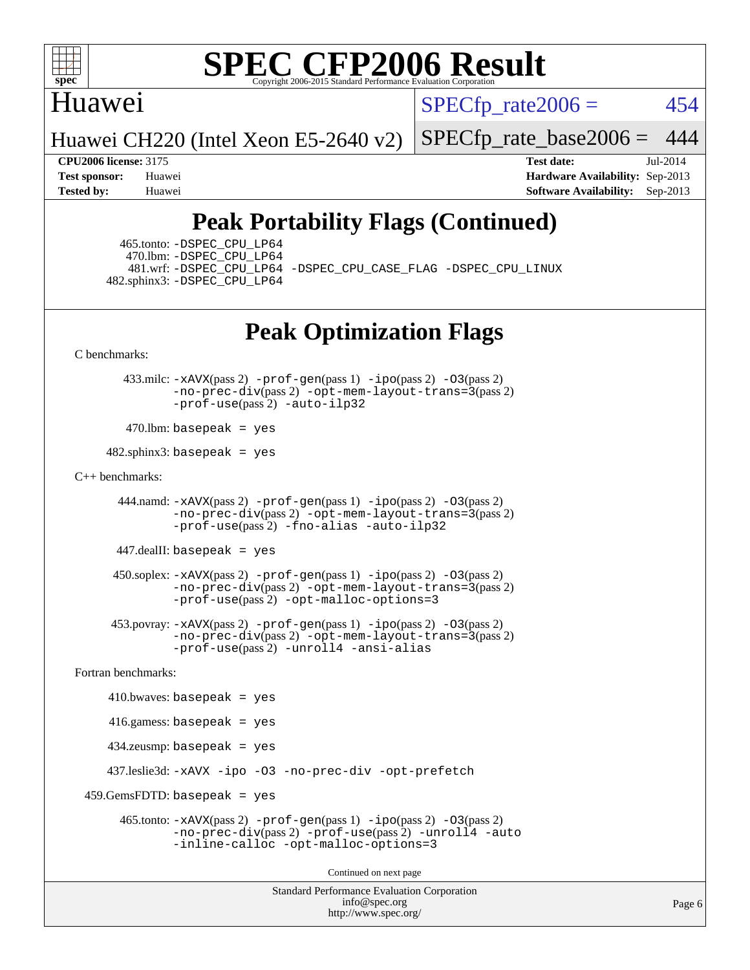

### Huawei

 $SPECTp\_rate2006 = 454$ 

Huawei CH220 (Intel Xeon E5-2640 v2)

[SPECfp\\_rate\\_base2006 =](http://www.spec.org/auto/cpu2006/Docs/result-fields.html#SPECfpratebase2006) 444

**[CPU2006 license:](http://www.spec.org/auto/cpu2006/Docs/result-fields.html#CPU2006license)** 3175 **[Test date:](http://www.spec.org/auto/cpu2006/Docs/result-fields.html#Testdate)** Jul-2014 **[Test sponsor:](http://www.spec.org/auto/cpu2006/Docs/result-fields.html#Testsponsor)** Huawei **[Hardware Availability:](http://www.spec.org/auto/cpu2006/Docs/result-fields.html#HardwareAvailability)** Sep-2013 **[Tested by:](http://www.spec.org/auto/cpu2006/Docs/result-fields.html#Testedby)** Huawei **[Software Availability:](http://www.spec.org/auto/cpu2006/Docs/result-fields.html#SoftwareAvailability)** Sep-2013

## **[Peak Portability Flags \(Continued\)](http://www.spec.org/auto/cpu2006/Docs/result-fields.html#PeakPortabilityFlags)**

 465.tonto: [-DSPEC\\_CPU\\_LP64](http://www.spec.org/cpu2006/results/res2014q3/cpu2006-20140811-30874.flags.html#suite_peakPORTABILITY465_tonto_DSPEC_CPU_LP64) 470.lbm: [-DSPEC\\_CPU\\_LP64](http://www.spec.org/cpu2006/results/res2014q3/cpu2006-20140811-30874.flags.html#suite_peakPORTABILITY470_lbm_DSPEC_CPU_LP64) 482.sphinx3: [-DSPEC\\_CPU\\_LP64](http://www.spec.org/cpu2006/results/res2014q3/cpu2006-20140811-30874.flags.html#suite_peakPORTABILITY482_sphinx3_DSPEC_CPU_LP64)

481.wrf: [-DSPEC\\_CPU\\_LP64](http://www.spec.org/cpu2006/results/res2014q3/cpu2006-20140811-30874.flags.html#suite_peakPORTABILITY481_wrf_DSPEC_CPU_LP64) [-DSPEC\\_CPU\\_CASE\\_FLAG](http://www.spec.org/cpu2006/results/res2014q3/cpu2006-20140811-30874.flags.html#b481.wrf_peakCPORTABILITY_DSPEC_CPU_CASE_FLAG) [-DSPEC\\_CPU\\_LINUX](http://www.spec.org/cpu2006/results/res2014q3/cpu2006-20140811-30874.flags.html#b481.wrf_peakCPORTABILITY_DSPEC_CPU_LINUX)

## **[Peak Optimization Flags](http://www.spec.org/auto/cpu2006/Docs/result-fields.html#PeakOptimizationFlags)**

[C benchmarks](http://www.spec.org/auto/cpu2006/Docs/result-fields.html#Cbenchmarks):

 433.milc: [-xAVX](http://www.spec.org/cpu2006/results/res2014q3/cpu2006-20140811-30874.flags.html#user_peakPASS2_CFLAGSPASS2_LDFLAGS433_milc_f-xAVX)(pass 2) [-prof-gen](http://www.spec.org/cpu2006/results/res2014q3/cpu2006-20140811-30874.flags.html#user_peakPASS1_CFLAGSPASS1_LDFLAGS433_milc_prof_gen_e43856698f6ca7b7e442dfd80e94a8fc)(pass 1) [-ipo](http://www.spec.org/cpu2006/results/res2014q3/cpu2006-20140811-30874.flags.html#user_peakPASS2_CFLAGSPASS2_LDFLAGS433_milc_f-ipo)(pass 2) [-O3](http://www.spec.org/cpu2006/results/res2014q3/cpu2006-20140811-30874.flags.html#user_peakPASS2_CFLAGSPASS2_LDFLAGS433_milc_f-O3)(pass 2) [-no-prec-div](http://www.spec.org/cpu2006/results/res2014q3/cpu2006-20140811-30874.flags.html#user_peakPASS2_CFLAGSPASS2_LDFLAGS433_milc_f-no-prec-div)(pass 2) [-opt-mem-layout-trans=3](http://www.spec.org/cpu2006/results/res2014q3/cpu2006-20140811-30874.flags.html#user_peakPASS2_CFLAGS433_milc_f-opt-mem-layout-trans_a7b82ad4bd7abf52556d4961a2ae94d5)(pass 2) [-prof-use](http://www.spec.org/cpu2006/results/res2014q3/cpu2006-20140811-30874.flags.html#user_peakPASS2_CFLAGSPASS2_LDFLAGS433_milc_prof_use_bccf7792157ff70d64e32fe3e1250b55)(pass 2) [-auto-ilp32](http://www.spec.org/cpu2006/results/res2014q3/cpu2006-20140811-30874.flags.html#user_peakCOPTIMIZE433_milc_f-auto-ilp32)

 $470$ .lbm: basepeak = yes

 $482$ .sphinx3: basepeak = yes

#### [C++ benchmarks:](http://www.spec.org/auto/cpu2006/Docs/result-fields.html#CXXbenchmarks)

 444.namd: [-xAVX](http://www.spec.org/cpu2006/results/res2014q3/cpu2006-20140811-30874.flags.html#user_peakPASS2_CXXFLAGSPASS2_LDFLAGS444_namd_f-xAVX)(pass 2) [-prof-gen](http://www.spec.org/cpu2006/results/res2014q3/cpu2006-20140811-30874.flags.html#user_peakPASS1_CXXFLAGSPASS1_LDFLAGS444_namd_prof_gen_e43856698f6ca7b7e442dfd80e94a8fc)(pass 1) [-ipo](http://www.spec.org/cpu2006/results/res2014q3/cpu2006-20140811-30874.flags.html#user_peakPASS2_CXXFLAGSPASS2_LDFLAGS444_namd_f-ipo)(pass 2) [-O3](http://www.spec.org/cpu2006/results/res2014q3/cpu2006-20140811-30874.flags.html#user_peakPASS2_CXXFLAGSPASS2_LDFLAGS444_namd_f-O3)(pass 2) [-no-prec-div](http://www.spec.org/cpu2006/results/res2014q3/cpu2006-20140811-30874.flags.html#user_peakPASS2_CXXFLAGSPASS2_LDFLAGS444_namd_f-no-prec-div)(pass 2) [-opt-mem-layout-trans=3](http://www.spec.org/cpu2006/results/res2014q3/cpu2006-20140811-30874.flags.html#user_peakPASS2_CXXFLAGS444_namd_f-opt-mem-layout-trans_a7b82ad4bd7abf52556d4961a2ae94d5)(pass 2) [-prof-use](http://www.spec.org/cpu2006/results/res2014q3/cpu2006-20140811-30874.flags.html#user_peakPASS2_CXXFLAGSPASS2_LDFLAGS444_namd_prof_use_bccf7792157ff70d64e32fe3e1250b55)(pass 2) [-fno-alias](http://www.spec.org/cpu2006/results/res2014q3/cpu2006-20140811-30874.flags.html#user_peakCXXOPTIMIZE444_namd_f-no-alias_694e77f6c5a51e658e82ccff53a9e63a) [-auto-ilp32](http://www.spec.org/cpu2006/results/res2014q3/cpu2006-20140811-30874.flags.html#user_peakCXXOPTIMIZE444_namd_f-auto-ilp32)

447.dealII: basepeak = yes

 $450$ .soplex:  $-x$ AVX(pass 2)  $-p$ rof-gen(pass 1)  $-i$ po(pass 2)  $-03$ (pass 2) [-no-prec-div](http://www.spec.org/cpu2006/results/res2014q3/cpu2006-20140811-30874.flags.html#user_peakPASS2_CXXFLAGSPASS2_LDFLAGS450_soplex_f-no-prec-div)(pass 2) [-opt-mem-layout-trans=3](http://www.spec.org/cpu2006/results/res2014q3/cpu2006-20140811-30874.flags.html#user_peakPASS2_CXXFLAGS450_soplex_f-opt-mem-layout-trans_a7b82ad4bd7abf52556d4961a2ae94d5)(pass 2) [-prof-use](http://www.spec.org/cpu2006/results/res2014q3/cpu2006-20140811-30874.flags.html#user_peakPASS2_CXXFLAGSPASS2_LDFLAGS450_soplex_prof_use_bccf7792157ff70d64e32fe3e1250b55)(pass 2) [-opt-malloc-options=3](http://www.spec.org/cpu2006/results/res2014q3/cpu2006-20140811-30874.flags.html#user_peakOPTIMIZE450_soplex_f-opt-malloc-options_13ab9b803cf986b4ee62f0a5998c2238)

 453.povray: [-xAVX](http://www.spec.org/cpu2006/results/res2014q3/cpu2006-20140811-30874.flags.html#user_peakPASS2_CXXFLAGSPASS2_LDFLAGS453_povray_f-xAVX)(pass 2) [-prof-gen](http://www.spec.org/cpu2006/results/res2014q3/cpu2006-20140811-30874.flags.html#user_peakPASS1_CXXFLAGSPASS1_LDFLAGS453_povray_prof_gen_e43856698f6ca7b7e442dfd80e94a8fc)(pass 1) [-ipo](http://www.spec.org/cpu2006/results/res2014q3/cpu2006-20140811-30874.flags.html#user_peakPASS2_CXXFLAGSPASS2_LDFLAGS453_povray_f-ipo)(pass 2) [-O3](http://www.spec.org/cpu2006/results/res2014q3/cpu2006-20140811-30874.flags.html#user_peakPASS2_CXXFLAGSPASS2_LDFLAGS453_povray_f-O3)(pass 2) [-no-prec-div](http://www.spec.org/cpu2006/results/res2014q3/cpu2006-20140811-30874.flags.html#user_peakPASS2_CXXFLAGSPASS2_LDFLAGS453_povray_f-no-prec-div)(pass 2) [-opt-mem-layout-trans=3](http://www.spec.org/cpu2006/results/res2014q3/cpu2006-20140811-30874.flags.html#user_peakPASS2_CXXFLAGS453_povray_f-opt-mem-layout-trans_a7b82ad4bd7abf52556d4961a2ae94d5)(pass 2) [-prof-use](http://www.spec.org/cpu2006/results/res2014q3/cpu2006-20140811-30874.flags.html#user_peakPASS2_CXXFLAGSPASS2_LDFLAGS453_povray_prof_use_bccf7792157ff70d64e32fe3e1250b55)(pass 2) [-unroll4](http://www.spec.org/cpu2006/results/res2014q3/cpu2006-20140811-30874.flags.html#user_peakCXXOPTIMIZE453_povray_f-unroll_4e5e4ed65b7fd20bdcd365bec371b81f) [-ansi-alias](http://www.spec.org/cpu2006/results/res2014q3/cpu2006-20140811-30874.flags.html#user_peakCXXOPTIMIZE453_povray_f-ansi-alias)

[Fortran benchmarks](http://www.spec.org/auto/cpu2006/Docs/result-fields.html#Fortranbenchmarks):

```
410.bwaves: basepeak = yes 416.gamess: basepeak = yes
    434.zeusmp: basepeak = yes
    437.leslie3d: -xAVX -ipo -O3 -no-prec-div -opt-prefetch
459.GemsFDTD: basepeak = yes 465.tonto: -xAVX(pass 2) -prof-gen(pass 1) -ipo(pass 2) -O3(pass 2)
              -no-prec-div(pass 2) -prof-use(pass 2) -unroll4 -auto
              -inline-calloc -opt-malloc-options=3
                                      Continued on next page
```
Standard Performance Evaluation Corporation [info@spec.org](mailto:info@spec.org) <http://www.spec.org/>